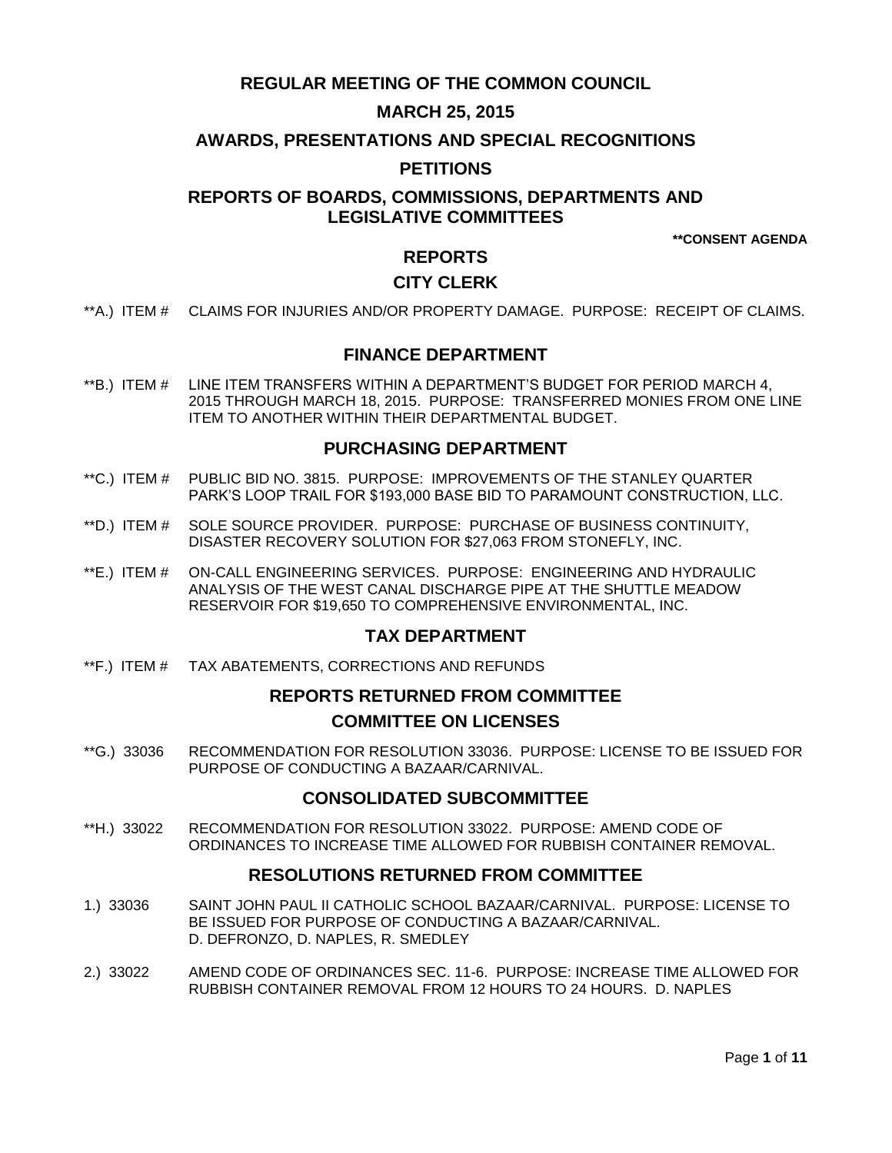# **REGULAR MEETING OF THE COMMON COUNCIL**

# **MARCH 25, 2015**

### **AWARDS, PRESENTATIONS AND SPECIAL RECOGNITIONS**

### **PETITIONS**

# **REPORTS OF BOARDS, COMMISSIONS, DEPARTMENTS AND LEGISLATIVE COMMITTEES**

**\*\*CONSENT AGENDA**

### **REPORTS**

# **CITY CLERK**

\*\*A.) ITEM # [CLAIMS FOR INJURIES AND/OR PROPERTY DAMAGE. PURPOSE: RECEIPT OF CLAIMS.](#page-2-0)

### **FINANCE DEPARTMENT**

\*\*B.) ITEM # [LINE ITEM TRANSFERS WITHIN A DEPARTMENT'S BUDGET FOR PERIOD MARCH 4,](#page-2-1)  [2015 THROUGH MARCH 18, 2015. PURPOSE: TRANSFERRED MONIES FROM ONE LINE](#page-2-1)  [ITEM TO ANOTHER WITHIN THEIR DEPARTMENTAL BUDGET.](#page-2-1)

#### **PURCHASING DEPARTMENT**

- \*\*C.) ITEM # [PUBLIC BID NO. 3815. PURPOSE: IMPROVEMENTS](#page-3-0) OF THE STANLEY QUARTER [PARK'S LOOP TRAIL FOR \\$193,000 BASE BID TO PARAMOUNT CONSTRUCTION, LLC.](#page-3-0)
- \*\*D.) ITEM # [SOLE SOURCE PROVIDER. PURPOSE: PURCHASE OF BUSINESS CONTINUITY,](#page-3-1)  [DISASTER RECOVERY SOLUTION FOR \\$27,063 FROM STONEFLY, INC.](#page-3-1)
- \*\*E.) ITEM # [ON-CALL ENGINEERING SERVICES. PURPOSE: ENGINEERING AND HYDRAULIC](#page-4-0)  [ANALYSIS OF THE WEST CANAL DISCHARGE PIPE AT THE SHUTTLE MEADOW](#page-4-0)  [RESERVOIR FOR \\$19,650 TO COMPREHENSIVE ENVIRONMENTAL, INC.](#page-4-0)

### **TAX DEPARTMENT**

\*\*F.) ITEM # [TAX ABATEMENTS, CORRECTIONS AND REFUNDS](#page-5-0)

# **REPORTS RETURNED FROM COMMITTEE COMMITTEE ON LICENSES**

\*\*G.) 33036 [RECOMMENDATION FOR RESOLUTION 33036. PURPOSE: LICENSE TO BE ISSUED FOR](#page-5-1)  [PURPOSE OF CONDUCTING A BAZAAR/CARNIVAL.](#page-5-1) 

## **CONSOLIDATED SUBCOMMITTEE**

\*\*H.) 33022 [RECOMMENDATION FOR RESOLUTION 33022. PURPOSE: AMEND CODE OF](#page-6-0)  [ORDINANCES TO INCREASE TIME ALLOWED FOR RUBBISH CONTAINER REMOVAL.](#page-6-0)

### **RESOLUTIONS RETURNED FROM COMMITTEE**

- 1.) 33036 [SAINT JOHN PAUL II CATHOLIC SCHOOL BAZAAR/CARNIVAL. PURPOSE: LICENSE TO](#page-6-1)  [BE ISSUED FOR PURPOSE OF CONDUCTING A BAZAAR/CARNIVAL.](#page-6-1)  [D. DEFRONZO, D. NAPLES, R. SMEDLEY](#page-6-1)
- 2.) 33022 [AMEND CODE OF ORDINANCES SEC. 11-6. PURPOSE: INCREASE TIME ALLOWED FOR](#page-6-2)  [RUBBISH CONTAINER REMOVAL FROM 12 HOURS TO 24 HOURS. D. NAPLES](#page-6-2)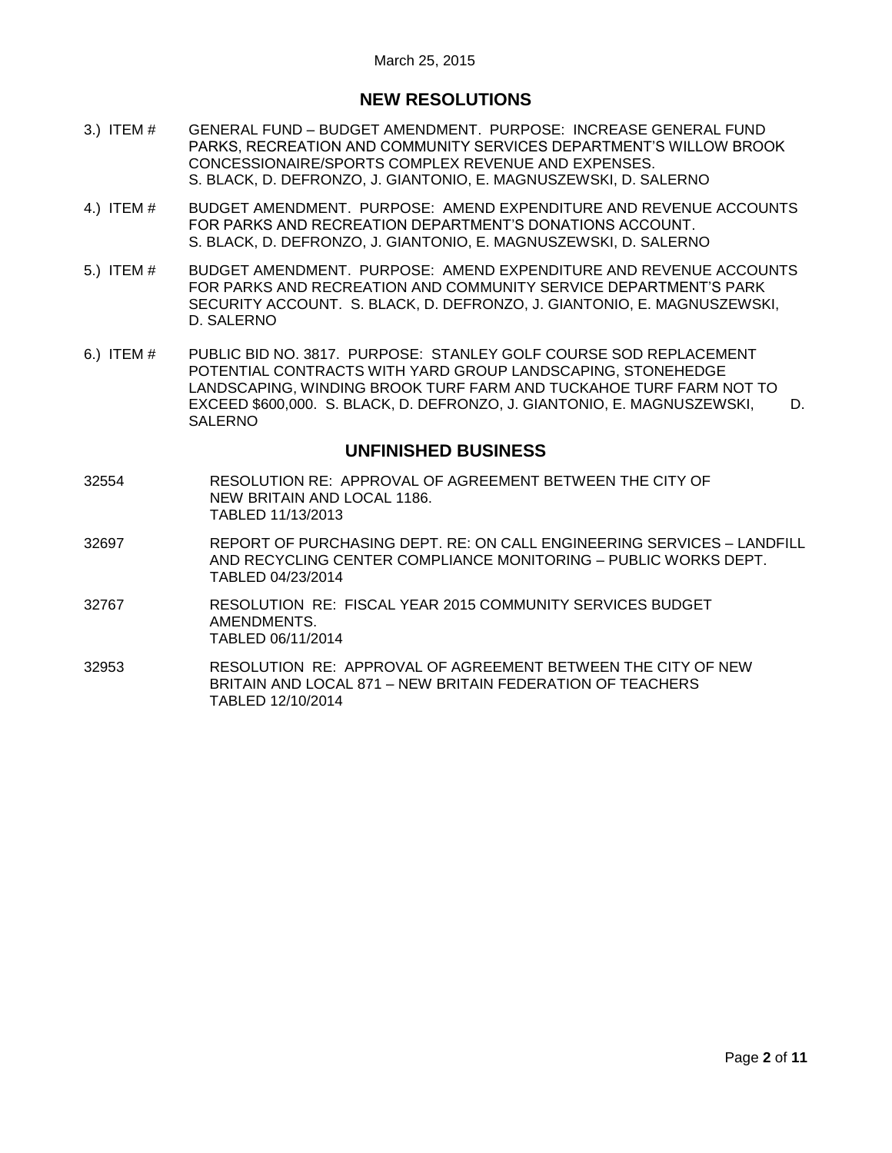# **NEW RESOLUTIONS**

- 3.) ITEM # GENERAL FUND [BUDGET AMENDMENT. PURPOSE: INCREASE GENERAL FUND](#page-7-0)  [PARKS, RECREATION AND COMMUNITY SERVICES DEPARTMENT'S WILLOW BROOK](#page-7-0)  [CONCESSIONAIRE/SPORTS COMPLEX REVENUE AND EXPENSES.](#page-7-0)  [S. BLACK, D. DEFRONZO, J. GIANTONIO, E. MAGNUSZEWSKI, D. SALERNO](#page-7-0)
- 4.) ITEM # [BUDGET AMENDMENT. PURPOSE: AMEND EXPENDITURE AND REVENUE ACCOUNTS](#page-8-0)  [FOR PARKS AND RECREATION DEPARTMENT'S DONATIONS ACCOUNT.](#page-8-0)  [S. BLACK, D. DEFRONZO, J. GIANTONIO, E. MAGNUSZEWSKI, D. SALERNO](#page-8-0)
- 5.) ITEM # [BUDGET AMENDMENT. PURPOSE: AMEND EXPENDITURE AND REVENUE ACCOUNTS](#page-8-1)  [FOR PARKS AND RECREATION AND COMMUNITY SERVICE](#page-8-1) DEPARTMENT'S PARK [SECURITY ACCOUNT. S. BLACK, D. DEFRONZO, J. GIANTONIO, E. MAGNUSZEWSKI,](#page-8-1)  [D. SALERNO](#page-8-1)
- 6.) ITEM # [PUBLIC BID NO. 3817. PURPOSE: STANLEY GOLF COURSE SOD REPLACEMENT](#page-9-0)  [POTENTIAL CONTRACTS WITH YARD GROUP LANDSCAPING, STONEHEDGE](#page-9-0)  [LANDSCAPING, WINDING BROOK TURF FARM AND TUCKAHOE TURF FARM NOT TO](#page-9-0)  [EXCEED \\$600,000. S. BLACK, D. DEFRONZO, J. GIANTONIO, E. MAGNUSZEWSKI, D.](#page-9-0)  [SALERNO](#page-9-0)

### **UNFINISHED BUSINESS**

- 32554 RESOLUTION RE: APPROVAL OF AGREEMENT BETWEEN THE CITY OF NEW BRITAIN AND LOCAL 1186. TABLED 11/13/2013
- 32697 REPORT OF PURCHASING DEPT. RE: ON CALL ENGINEERING SERVICES LANDFILL AND RECYCLING CENTER COMPLIANCE MONITORING – PUBLIC WORKS DEPT. TABLED 04/23/2014
- 32767 RESOLUTION RE: FISCAL YEAR 2015 COMMUNITY SERVICES BUDGET AMENDMENTS. TABLED 06/11/2014
- 32953 RESOLUTION RE: APPROVAL OF AGREEMENT BETWEEN THE CITY OF NEW BRITAIN AND LOCAL 871 – NEW BRITAIN FEDERATION OF TEACHERS TABLED 12/10/2014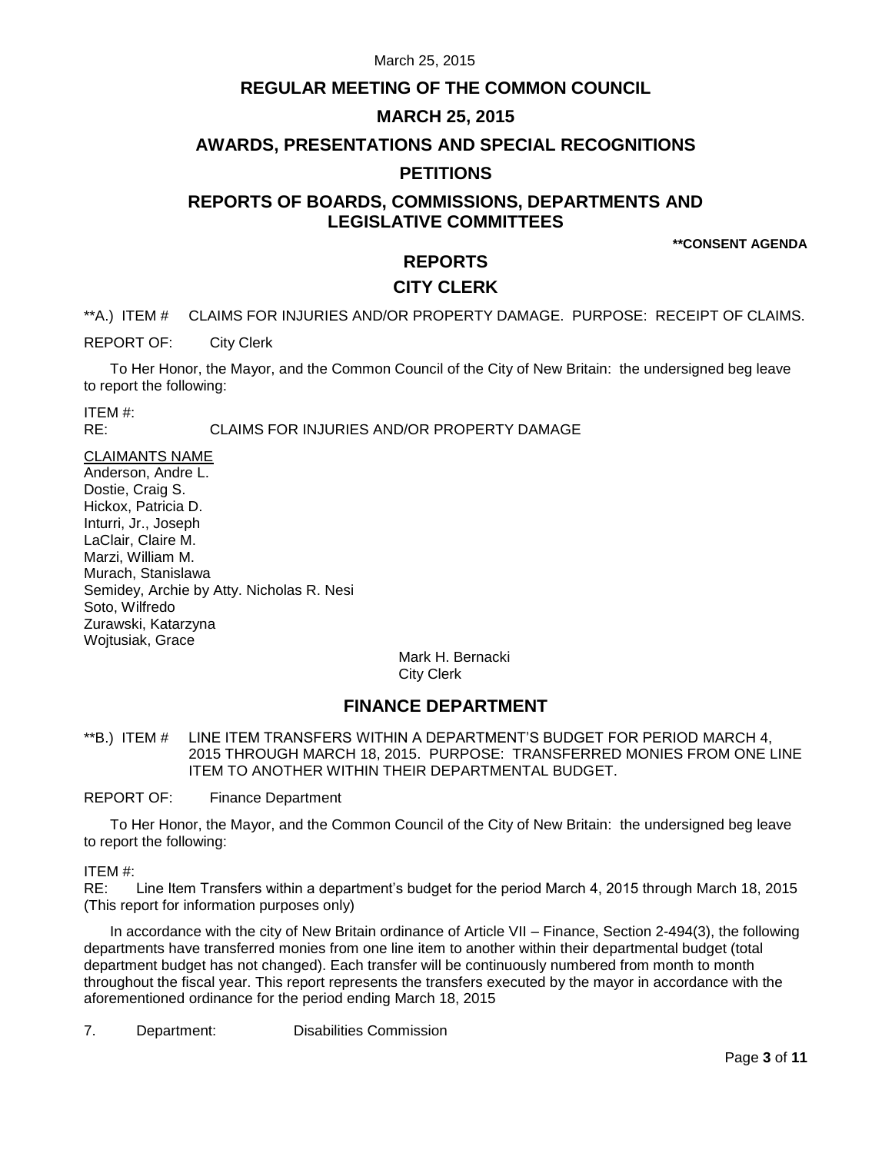## **REGULAR MEETING OF THE COMMON COUNCIL**

# **MARCH 25, 2015**

### **AWARDS, PRESENTATIONS AND SPECIAL RECOGNITIONS**

### **PETITIONS**

# **REPORTS OF BOARDS, COMMISSIONS, DEPARTMENTS AND LEGISLATIVE COMMITTEES**

**\*\*CONSENT AGENDA**

### **REPORTS**

## **CITY CLERK**

<span id="page-2-0"></span>\*\*A.) ITEM # CLAIMS FOR INJURIES AND/OR PROPERTY DAMAGE. PURPOSE: RECEIPT OF CLAIMS.

REPORT OF: City Clerk

To Her Honor, the Mayor, and the Common Council of the City of New Britain: the undersigned beg leave to report the following:

ITEM #:

RE: CLAIMS FOR INJURIES AND/OR PROPERTY DAMAGE

CLAIMANTS NAME

Anderson, Andre L. Dostie, Craig S. Hickox, Patricia D. Inturri, Jr., Joseph LaClair, Claire M. Marzi, William M. Murach, Stanislawa Semidey, Archie by Atty. Nicholas R. Nesi Soto, Wilfredo Zurawski, Katarzyna Wojtusiak, Grace

Mark H. Bernacki City Clerk

### **FINANCE DEPARTMENT**

<span id="page-2-1"></span>\*\*B.) ITEM # LINE ITEM TRANSFERS WITHIN A DEPARTMENT'S BUDGET FOR PERIOD MARCH 4, 2015 THROUGH MARCH 18, 2015. PURPOSE: TRANSFERRED MONIES FROM ONE LINE ITEM TO ANOTHER WITHIN THEIR DEPARTMENTAL BUDGET.

REPORT OF: Finance Department

To Her Honor, the Mayor, and the Common Council of the City of New Britain: the undersigned beg leave to report the following:

ITEM #:

RE: Line Item Transfers within a department's budget for the period March 4, 2015 through March 18, 2015 (This report for information purposes only)

In accordance with the city of New Britain ordinance of Article VII – Finance, Section 2-494(3), the following departments have transferred monies from one line item to another within their departmental budget (total department budget has not changed). Each transfer will be continuously numbered from month to month throughout the fiscal year. This report represents the transfers executed by the mayor in accordance with the aforementioned ordinance for the period ending March 18, 2015

7. Department: Disabilities Commission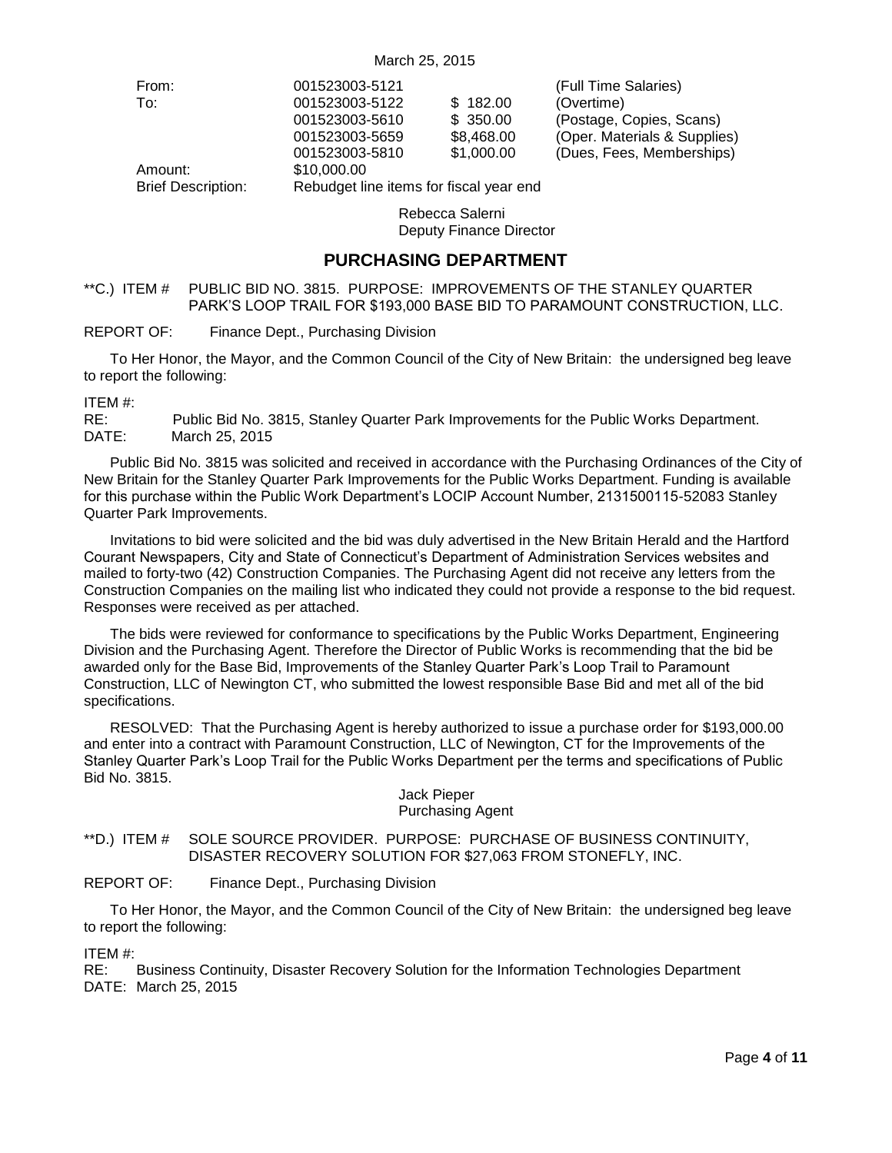| From:                     | 001523003-5121                          |                 | (Full Time Salaries)         |
|---------------------------|-----------------------------------------|-----------------|------------------------------|
| To:                       | 001523003-5122                          | \$182.00        | (Overtime)                   |
|                           | 001523003-5610                          | \$350.00        | (Postage, Copies, Scans)     |
|                           | 001523003-5659                          | \$8,468.00      | (Oper. Materials & Supplies) |
|                           | 001523003-5810                          | \$1,000.00      | (Dues, Fees, Memberships)    |
| Amount:                   | \$10,000.00                             |                 |                              |
| <b>Brief Description:</b> | Rebudget line items for fiscal year end |                 |                              |
|                           |                                         | Rebecca Salerni |                              |

Deputy Finance Director

#### **PURCHASING DEPARTMENT**

<span id="page-3-0"></span>\*\*C.) ITEM # PUBLIC BID NO. 3815. PURPOSE: IMPROVEMENTS OF THE STANLEY QUARTER PARK'S LOOP TRAIL FOR \$193,000 BASE BID TO PARAMOUNT CONSTRUCTION, LLC.

REPORT OF: Finance Dept., Purchasing Division

To Her Honor, the Mayor, and the Common Council of the City of New Britain: the undersigned beg leave to report the following:

ITEM #:

RE: Public Bid No. 3815, Stanley Quarter Park Improvements for the Public Works Department. DATE: March 25, 2015

Public Bid No. 3815 was solicited and received in accordance with the Purchasing Ordinances of the City of New Britain for the Stanley Quarter Park Improvements for the Public Works Department. Funding is available for this purchase within the Public Work Department's LOCIP Account Number, 2131500115-52083 Stanley Quarter Park Improvements.

Invitations to bid were solicited and the bid was duly advertised in the New Britain Herald and the Hartford Courant Newspapers, City and State of Connecticut's Department of Administration Services websites and mailed to forty-two (42) Construction Companies. The Purchasing Agent did not receive any letters from the Construction Companies on the mailing list who indicated they could not provide a response to the bid request. Responses were received as per attached.

The bids were reviewed for conformance to specifications by the Public Works Department, Engineering Division and the Purchasing Agent. Therefore the Director of Public Works is recommending that the bid be awarded only for the Base Bid, Improvements of the Stanley Quarter Park's Loop Trail to Paramount Construction, LLC of Newington CT, who submitted the lowest responsible Base Bid and met all of the bid specifications.

RESOLVED: That the Purchasing Agent is hereby authorized to issue a purchase order for \$193,000.00 and enter into a contract with Paramount Construction, LLC of Newington, CT for the Improvements of the Stanley Quarter Park's Loop Trail for the Public Works Department per the terms and specifications of Public Bid No. 3815.

#### Jack Pieper Purchasing Agent

#### <span id="page-3-1"></span>\*\*D.) ITEM # SOLE SOURCE PROVIDER. PURPOSE: PURCHASE OF BUSINESS CONTINUITY, DISASTER RECOVERY SOLUTION FOR \$27,063 FROM STONEFLY, INC.

#### REPORT OF: Finance Dept., Purchasing Division

To Her Honor, the Mayor, and the Common Council of the City of New Britain: the undersigned beg leave to report the following:

ITEM #:

RE: Business Continuity, Disaster Recovery Solution for the Information Technologies Department DATE: March 25, 2015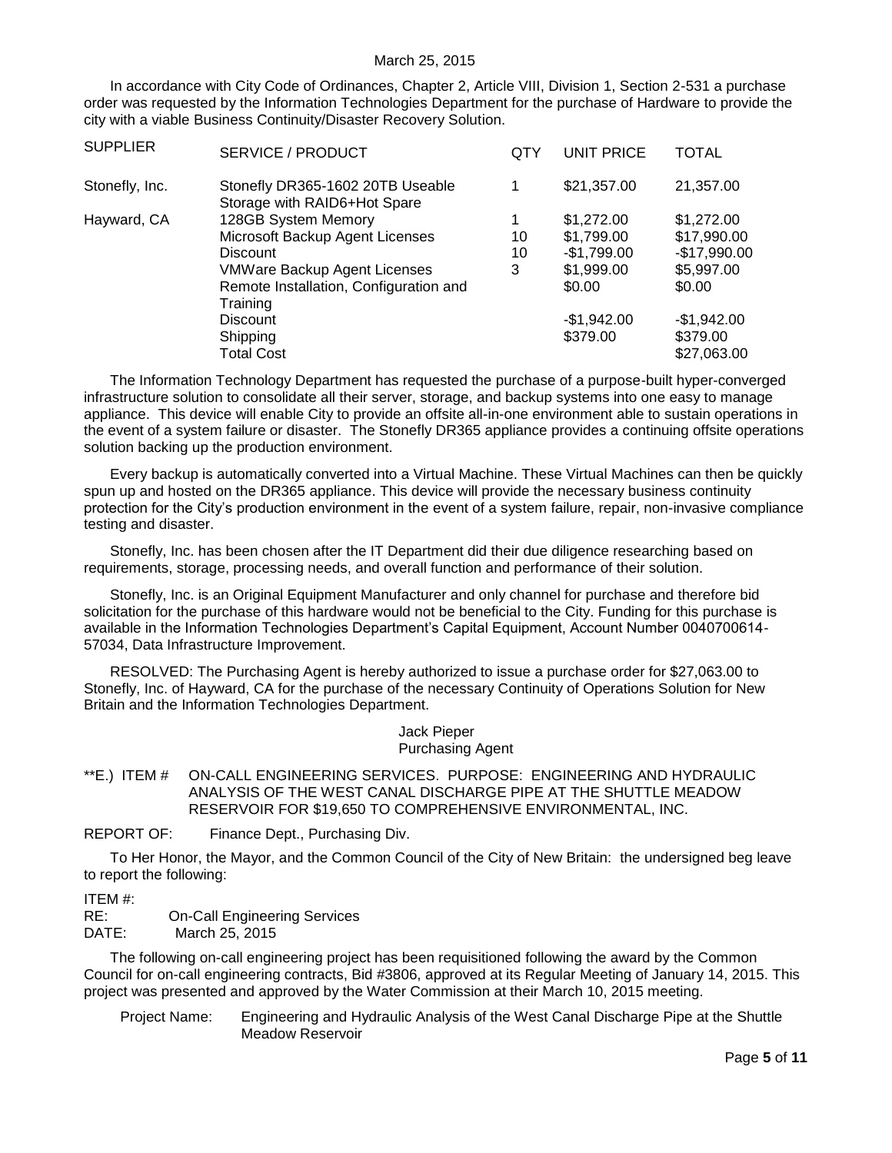In accordance with City Code of Ordinances, Chapter 2, Article VIII, Division 1, Section 2-531 a purchase order was requested by the Information Technologies Department for the purchase of Hardware to provide the city with a viable Business Continuity/Disaster Recovery Solution.

| <b>SUPPLIER</b> | SERVICE / PRODUCT                                                | QTY | UNIT PRICE   | TOTAL         |
|-----------------|------------------------------------------------------------------|-----|--------------|---------------|
| Stonefly, Inc.  | Stonefly DR365-1602 20TB Useable<br>Storage with RAID6+Hot Spare | 1   | \$21,357.00  | 21,357.00     |
| Hayward, CA     | 128GB System Memory                                              | 1   | \$1,272.00   | \$1,272.00    |
|                 | Microsoft Backup Agent Licenses                                  | 10  | \$1,799.00   | \$17,990.00   |
|                 | <b>Discount</b>                                                  | 10  | $-$1,799.00$ | $-$17,990.00$ |
|                 | <b>VMWare Backup Agent Licenses</b>                              | 3   | \$1,999.00   | \$5,997.00    |
|                 | Remote Installation, Configuration and<br>Training               |     | \$0.00       | \$0.00        |
|                 | <b>Discount</b>                                                  |     | $-$1,942.00$ | $-$1,942.00$  |
|                 | Shipping                                                         |     | \$379.00     | \$379.00      |
|                 | <b>Total Cost</b>                                                |     |              | \$27,063.00   |

The Information Technology Department has requested the purchase of a purpose-built hyper-converged infrastructure solution to consolidate all their server, storage, and backup systems into one easy to manage appliance. This device will enable City to provide an offsite all-in-one environment able to sustain operations in the event of a system failure or disaster. The Stonefly DR365 appliance provides a continuing offsite operations solution backing up the production environment.

Every backup is automatically converted into a Virtual Machine. These Virtual Machines can then be quickly spun up and hosted on the DR365 appliance. This device will provide the necessary business continuity protection for the City's production environment in the event of a system failure, repair, non-invasive compliance testing and disaster.

Stonefly, Inc. has been chosen after the IT Department did their due diligence researching based on requirements, storage, processing needs, and overall function and performance of their solution.

Stonefly, Inc. is an Original Equipment Manufacturer and only channel for purchase and therefore bid solicitation for the purchase of this hardware would not be beneficial to the City. Funding for this purchase is available in the Information Technologies Department's Capital Equipment, Account Number 0040700614- 57034, Data Infrastructure Improvement.

RESOLVED: The Purchasing Agent is hereby authorized to issue a purchase order for \$27,063.00 to Stonefly, Inc. of Hayward, CA for the purchase of the necessary Continuity of Operations Solution for New Britain and the Information Technologies Department.

> Jack Pieper Purchasing Agent

<span id="page-4-0"></span>\*\*E.) ITEM # ON-CALL ENGINEERING SERVICES. PURPOSE: ENGINEERING AND HYDRAULIC ANALYSIS OF THE WEST CANAL DISCHARGE PIPE AT THE SHUTTLE MEADOW RESERVOIR FOR \$19,650 TO COMPREHENSIVE ENVIRONMENTAL, INC.

REPORT OF: Finance Dept., Purchasing Div.

To Her Honor, the Mayor, and the Common Council of the City of New Britain: the undersigned beg leave to report the following:

#### ITEM #:

RE: On-Call Engineering Services DATE: March 25, 2015

The following on-call engineering project has been requisitioned following the award by the Common Council for on-call engineering contracts, Bid #3806, approved at its Regular Meeting of January 14, 2015. This project was presented and approved by the Water Commission at their March 10, 2015 meeting.

 Project Name: Engineering and Hydraulic Analysis of the West Canal Discharge Pipe at the Shuttle Meadow Reservoir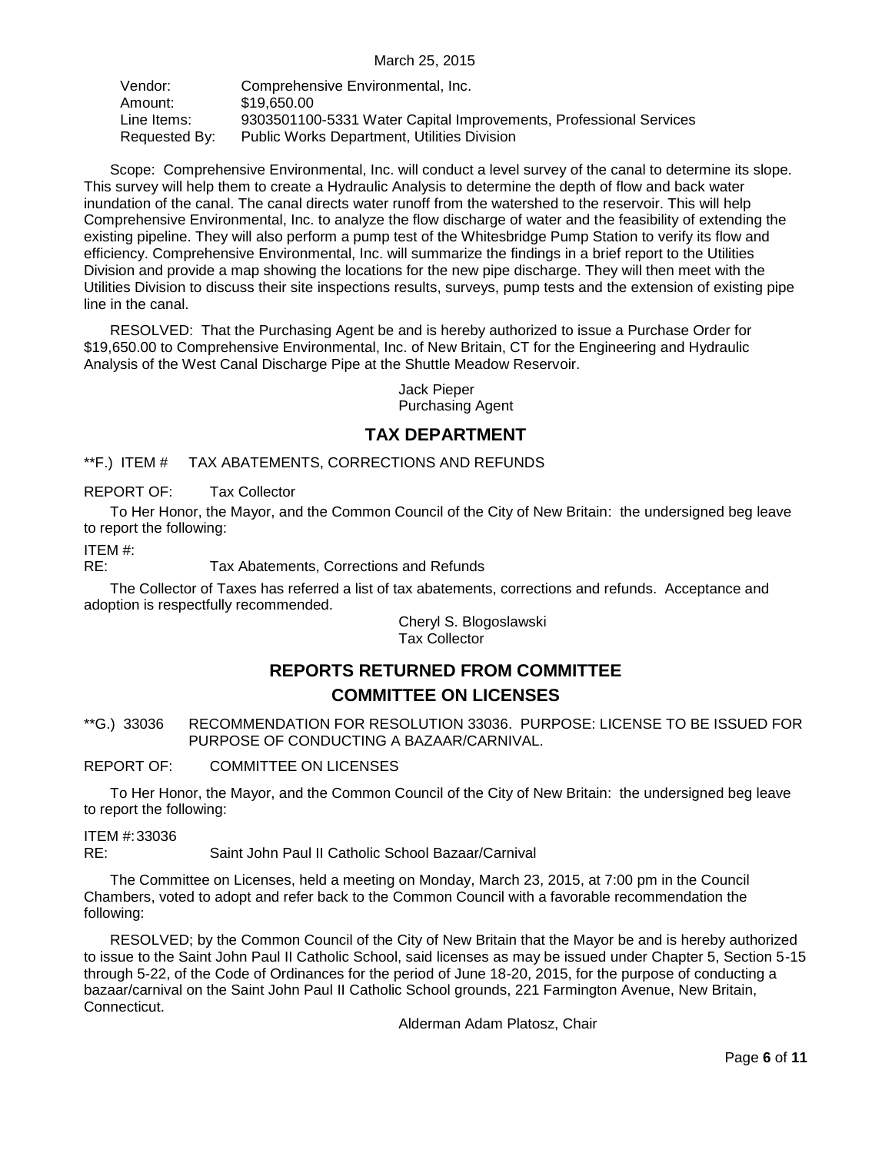| Vendor:       | Comprehensive Environmental, Inc.                                 |
|---------------|-------------------------------------------------------------------|
| Amount:       | \$19,650,00                                                       |
| Line Items:   | 9303501100-5331 Water Capital Improvements, Professional Services |
| Requested By: | <b>Public Works Department, Utilities Division</b>                |

Scope: Comprehensive Environmental, Inc. will conduct a level survey of the canal to determine its slope. This survey will help them to create a Hydraulic Analysis to determine the depth of flow and back water inundation of the canal. The canal directs water runoff from the watershed to the reservoir. This will help Comprehensive Environmental, Inc. to analyze the flow discharge of water and the feasibility of extending the existing pipeline. They will also perform a pump test of the Whitesbridge Pump Station to verify its flow and efficiency. Comprehensive Environmental, Inc. will summarize the findings in a brief report to the Utilities Division and provide a map showing the locations for the new pipe discharge. They will then meet with the Utilities Division to discuss their site inspections results, surveys, pump tests and the extension of existing pipe line in the canal.

RESOLVED: That the Purchasing Agent be and is hereby authorized to issue a Purchase Order for \$19,650.00 to Comprehensive Environmental, Inc. of New Britain, CT for the Engineering and Hydraulic Analysis of the West Canal Discharge Pipe at the Shuttle Meadow Reservoir.

> Jack Pieper Purchasing Agent

# **TAX DEPARTMENT**

<span id="page-5-0"></span>\*\*F.) ITEM # TAX ABATEMENTS, CORRECTIONS AND REFUNDS

REPORT OF: Tax Collector

To Her Honor, the Mayor, and the Common Council of the City of New Britain: the undersigned beg leave to report the following:

ITEM #:

RE: Tax Abatements, Corrections and Refunds

The Collector of Taxes has referred a list of tax abatements, corrections and refunds. Acceptance and adoption is respectfully recommended.

> Cheryl S. Blogoslawski Tax Collector

# **REPORTS RETURNED FROM COMMITTEE COMMITTEE ON LICENSES**

<span id="page-5-1"></span>\*\*G.) 33036 RECOMMENDATION FOR RESOLUTION 33036. PURPOSE: LICENSE TO BE ISSUED FOR PURPOSE OF CONDUCTING A BAZAAR/CARNIVAL.

REPORT OF: COMMITTEE ON LICENSES

To Her Honor, the Mayor, and the Common Council of the City of New Britain: the undersigned beg leave to report the following:

ITEM #:33036 RE: Saint John Paul II Catholic School Bazaar/Carnival

The Committee on Licenses, held a meeting on Monday, March 23, 2015, at 7:00 pm in the Council Chambers, voted to adopt and refer back to the Common Council with a favorable recommendation the following:

RESOLVED; by the Common Council of the City of New Britain that the Mayor be and is hereby authorized to issue to the Saint John Paul II Catholic School, said licenses as may be issued under Chapter 5, Section 5-15 through 5-22, of the Code of Ordinances for the period of June 18-20, 2015, for the purpose of conducting a bazaar/carnival on the Saint John Paul II Catholic School grounds, 221 Farmington Avenue, New Britain, Connecticut.

Alderman Adam Platosz, Chair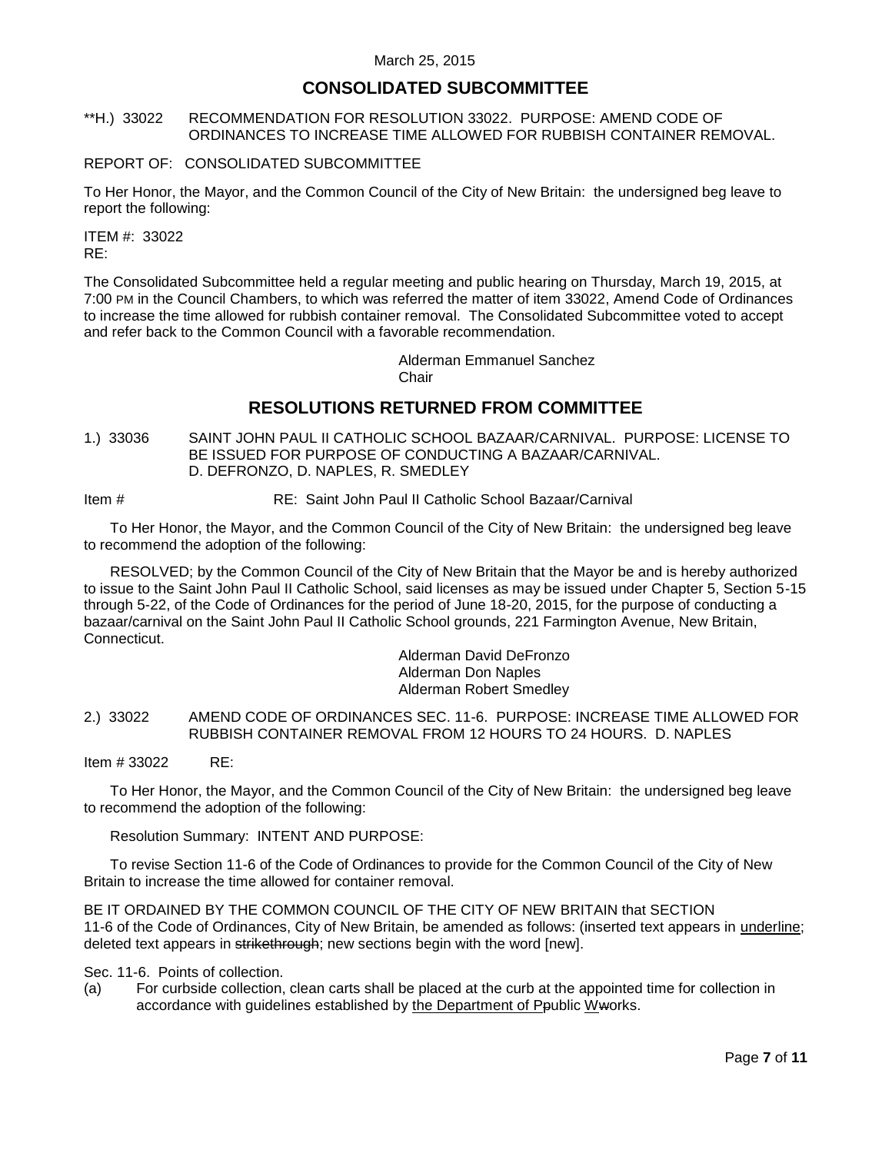### **CONSOLIDATED SUBCOMMITTEE**

#### <span id="page-6-0"></span>\*\*H.) 33022 RECOMMENDATION FOR RESOLUTION 33022. PURPOSE: AMEND CODE OF ORDINANCES TO INCREASE TIME ALLOWED FOR RUBBISH CONTAINER REMOVAL.

#### REPORT OF: CONSOLIDATED SUBCOMMITTEE

To Her Honor, the Mayor, and the Common Council of the City of New Britain: the undersigned beg leave to report the following:

ITEM #: 33022 RE:

The Consolidated Subcommittee held a regular meeting and public hearing on Thursday, March 19, 2015, at 7:00 PM in the Council Chambers, to which was referred the matter of item 33022, Amend Code of Ordinances to increase the time allowed for rubbish container removal. The Consolidated Subcommittee voted to accept and refer back to the Common Council with a favorable recommendation.

> Alderman Emmanuel Sanchez **Chair**

# **RESOLUTIONS RETURNED FROM COMMITTEE**

<span id="page-6-1"></span>1.) 33036 SAINT JOHN PAUL II CATHOLIC SCHOOL BAZAAR/CARNIVAL. PURPOSE: LICENSE TO BE ISSUED FOR PURPOSE OF CONDUCTING A BAZAAR/CARNIVAL. D. DEFRONZO, D. NAPLES, R. SMEDLEY

Item # RE: Saint John Paul II Catholic School Bazaar/Carnival

To Her Honor, the Mayor, and the Common Council of the City of New Britain: the undersigned beg leave to recommend the adoption of the following:

RESOLVED; by the Common Council of the City of New Britain that the Mayor be and is hereby authorized to issue to the Saint John Paul II Catholic School, said licenses as may be issued under Chapter 5, Section 5-15 through 5-22, of the Code of Ordinances for the period of June 18-20, 2015, for the purpose of conducting a bazaar/carnival on the Saint John Paul II Catholic School grounds, 221 Farmington Avenue, New Britain, Connecticut.

Alderman David DeFronzo Alderman Don Naples Alderman Robert Smedley

<span id="page-6-2"></span>2.) 33022 AMEND CODE OF ORDINANCES SEC. 11-6. PURPOSE: INCREASE TIME ALLOWED FOR RUBBISH CONTAINER REMOVAL FROM 12 HOURS TO 24 HOURS. D. NAPLES

Item # 33022 RE:

To Her Honor, the Mayor, and the Common Council of the City of New Britain: the undersigned beg leave to recommend the adoption of the following:

Resolution Summary: INTENT AND PURPOSE:

To revise Section 11-6 of the Code of Ordinances to provide for the Common Council of the City of New Britain to increase the time allowed for container removal.

BE IT ORDAINED BY THE COMMON COUNCIL OF THE CITY OF NEW BRITAIN that SECTION 11-6 of the Code of Ordinances, City of New Britain, be amended as follows: (inserted text appears in underline; deleted text appears in strikethrough; new sections begin with the word [new].

Sec. 11-6. Points of collection.

(a) For curbside collection, clean carts shall be placed at the curb at the appointed time for collection in accordance with guidelines established by the Department of Ppublic Wworks.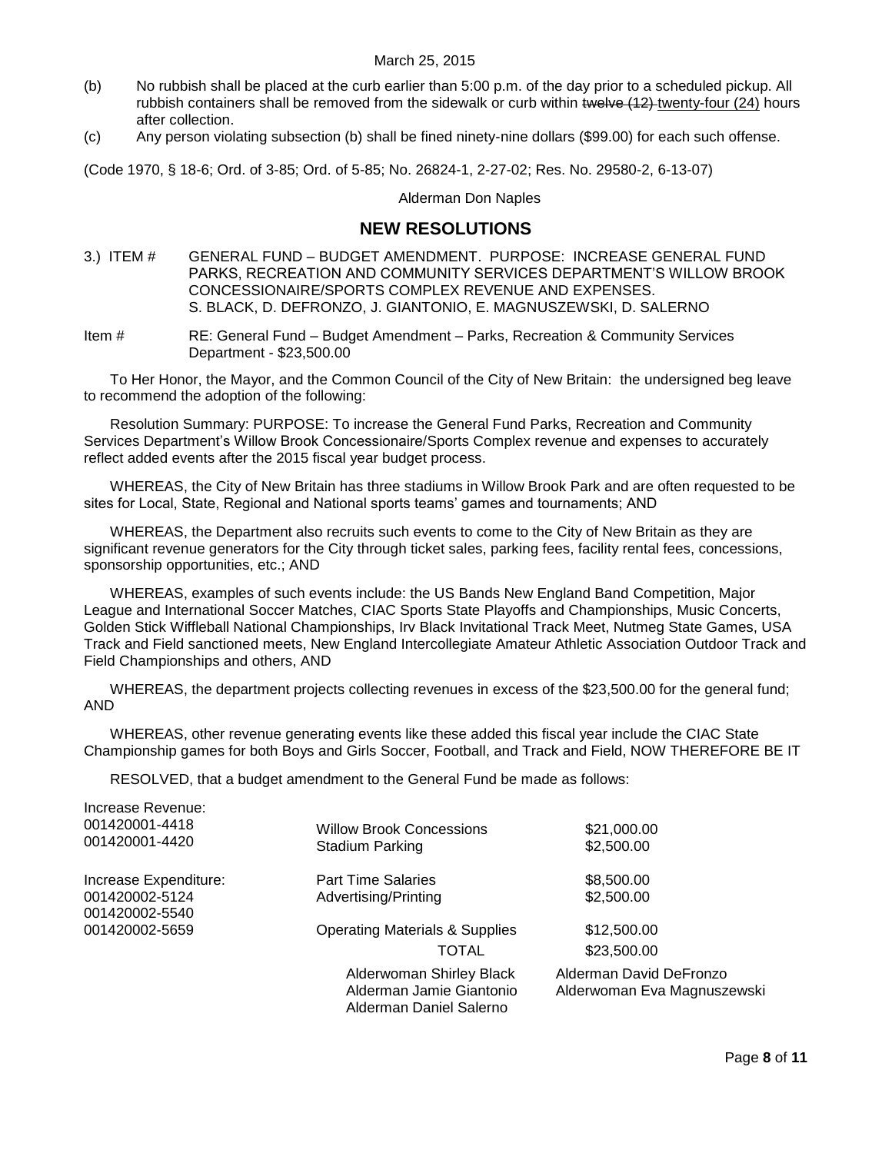- (b) No rubbish shall be placed at the curb earlier than 5:00 p.m. of the day prior to a scheduled pickup. All rubbish containers shall be removed from the sidewalk or curb within twelve (12) twenty-four (24) hours after collection.
- (c) Any person violating subsection (b) shall be fined ninety-nine dollars (\$99.00) for each such offense.

(Code 1970, § 18-6; Ord. of 3-85; Ord. of 5-85; No. 26824-1, 2-27-02; Res. No. 29580-2, 6-13-07)

Alderman Don Naples

# **NEW RESOLUTIONS**

- <span id="page-7-0"></span>3.) ITEM # GENERAL FUND – BUDGET AMENDMENT. PURPOSE: INCREASE GENERAL FUND PARKS, RECREATION AND COMMUNITY SERVICES DEPARTMENT'S WILLOW BROOK CONCESSIONAIRE/SPORTS COMPLEX REVENUE AND EXPENSES. S. BLACK, D. DEFRONZO, J. GIANTONIO, E. MAGNUSZEWSKI, D. SALERNO
- Item # RE: General Fund Budget Amendment Parks, Recreation & Community Services Department - \$23,500.00

To Her Honor, the Mayor, and the Common Council of the City of New Britain: the undersigned beg leave to recommend the adoption of the following:

Resolution Summary: PURPOSE: To increase the General Fund Parks, Recreation and Community Services Department's Willow Brook Concessionaire/Sports Complex revenue and expenses to accurately reflect added events after the 2015 fiscal year budget process.

WHEREAS, the City of New Britain has three stadiums in Willow Brook Park and are often requested to be sites for Local, State, Regional and National sports teams' games and tournaments; AND

WHEREAS, the Department also recruits such events to come to the City of New Britain as they are significant revenue generators for the City through ticket sales, parking fees, facility rental fees, concessions, sponsorship opportunities, etc.; AND

WHEREAS, examples of such events include: the US Bands New England Band Competition, Major League and International Soccer Matches, CIAC Sports State Playoffs and Championships, Music Concerts, Golden Stick Wiffleball National Championships, Irv Black Invitational Track Meet, Nutmeg State Games, USA Track and Field sanctioned meets, New England Intercollegiate Amateur Athletic Association Outdoor Track and Field Championships and others, AND

WHEREAS, the department projects collecting revenues in excess of the \$23,500.00 for the general fund; AND

WHEREAS, other revenue generating events like these added this fiscal year include the CIAC State Championship games for both Boys and Girls Soccer, Football, and Track and Field, NOW THEREFORE BE IT

RESOLVED, that a budget amendment to the General Fund be made as follows:

| Increase Revenue:<br>001420001-4418<br>001420001-4420 | <b>Willow Brook Concessions</b><br>Stadium Parking                              | \$21,000.00<br>\$2,500.00                              |
|-------------------------------------------------------|---------------------------------------------------------------------------------|--------------------------------------------------------|
| Increase Expenditure:                                 | <b>Part Time Salaries</b>                                                       | \$8,500.00                                             |
| 001420002-5124<br>001420002-5540                      | Advertising/Printing                                                            | \$2,500.00                                             |
| 001420002-5659                                        | <b>Operating Materials &amp; Supplies</b>                                       | \$12,500.00                                            |
|                                                       | TOTAL                                                                           | \$23,500.00                                            |
|                                                       | Alderwoman Shirley Black<br>Alderman Jamie Giantonio<br>Alderman Daniel Salerno | Alderman David DeFronzo<br>Alderwoman Eva Magnuszewski |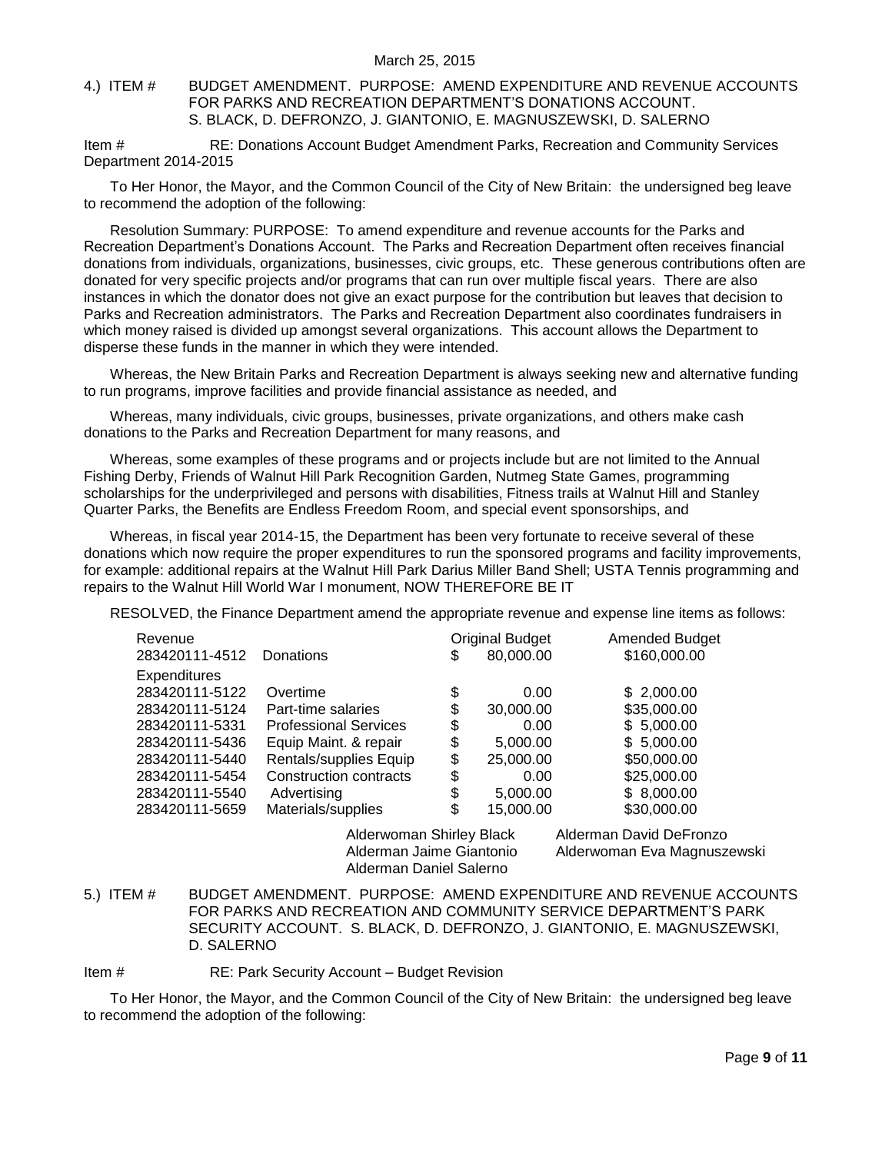#### <span id="page-8-0"></span>4.) ITEM # BUDGET AMENDMENT. PURPOSE: AMEND EXPENDITURE AND REVENUE ACCOUNTS FOR PARKS AND RECREATION DEPARTMENT'S DONATIONS ACCOUNT. S. BLACK, D. DEFRONZO, J. GIANTONIO, E. MAGNUSZEWSKI, D. SALERNO

Item # RE: Donations Account Budget Amendment Parks, Recreation and Community Services Department 2014-2015

To Her Honor, the Mayor, and the Common Council of the City of New Britain: the undersigned beg leave to recommend the adoption of the following:

Resolution Summary: PURPOSE: To amend expenditure and revenue accounts for the Parks and Recreation Department's Donations Account. The Parks and Recreation Department often receives financial donations from individuals, organizations, businesses, civic groups, etc. These generous contributions often are donated for very specific projects and/or programs that can run over multiple fiscal years. There are also instances in which the donator does not give an exact purpose for the contribution but leaves that decision to Parks and Recreation administrators. The Parks and Recreation Department also coordinates fundraisers in which money raised is divided up amongst several organizations. This account allows the Department to disperse these funds in the manner in which they were intended.

Whereas, the New Britain Parks and Recreation Department is always seeking new and alternative funding to run programs, improve facilities and provide financial assistance as needed, and

Whereas, many individuals, civic groups, businesses, private organizations, and others make cash donations to the Parks and Recreation Department for many reasons, and

Whereas, some examples of these programs and or projects include but are not limited to the Annual Fishing Derby, Friends of Walnut Hill Park Recognition Garden, Nutmeg State Games, programming scholarships for the underprivileged and persons with disabilities, Fitness trails at Walnut Hill and Stanley Quarter Parks, the Benefits are Endless Freedom Room, and special event sponsorships, and

Whereas, in fiscal year 2014-15, the Department has been very fortunate to receive several of these donations which now require the proper expenditures to run the sponsored programs and facility improvements, for example: additional repairs at the Walnut Hill Park Darius Miller Band Shell; USTA Tennis programming and repairs to the Walnut Hill World War I monument, NOW THEREFORE BE IT

RESOLVED, the Finance Department amend the appropriate revenue and expense line items as follows:

| Revenue             |                              | <b>Original Budget</b> | Amended Budget          |
|---------------------|------------------------------|------------------------|-------------------------|
| 283420111-4512      | <b>Donations</b>             | \$<br>80,000.00        | \$160,000.00            |
| <b>Expenditures</b> |                              |                        |                         |
| 283420111-5122      | Overtime                     | \$<br>0.00             | \$2,000.00              |
| 283420111-5124      | Part-time salaries           | \$<br>30,000.00        | \$35,000.00             |
| 283420111-5331      | <b>Professional Services</b> | \$<br>0.00             | \$5,000.00              |
| 283420111-5436      | Equip Maint. & repair        | \$<br>5,000.00         | \$5,000.00              |
| 283420111-5440      | Rentals/supplies Equip       | \$<br>25,000.00        | \$50,000.00             |
| 283420111-5454      | Construction contracts       | \$<br>0.00             | \$25,000.00             |
| 283420111-5540      | Advertising                  | \$<br>5,000.00         | \$8,000.00              |
| 283420111-5659      | Materials/supplies           | \$<br>15,000.00        | \$30,000.00             |
|                     | Alderwoman Shirley Black     |                        | Alderman David DeFronzo |
|                     |                              |                        |                         |

Alderman Daniel Salerno

Alderman Jaime Giantonio Alderwoman Eva Magnuszewski

<span id="page-8-1"></span>5.) ITEM # BUDGET AMENDMENT. PURPOSE: AMEND EXPENDITURE AND REVENUE ACCOUNTS FOR PARKS AND RECREATION AND COMMUNITY SERVICE DEPARTMENT'S PARK SECURITY ACCOUNT. S. BLACK, D. DEFRONZO, J. GIANTONIO, E. MAGNUSZEWSKI, D. SALERNO

Item # RE: Park Security Account – Budget Revision

To Her Honor, the Mayor, and the Common Council of the City of New Britain: the undersigned beg leave to recommend the adoption of the following: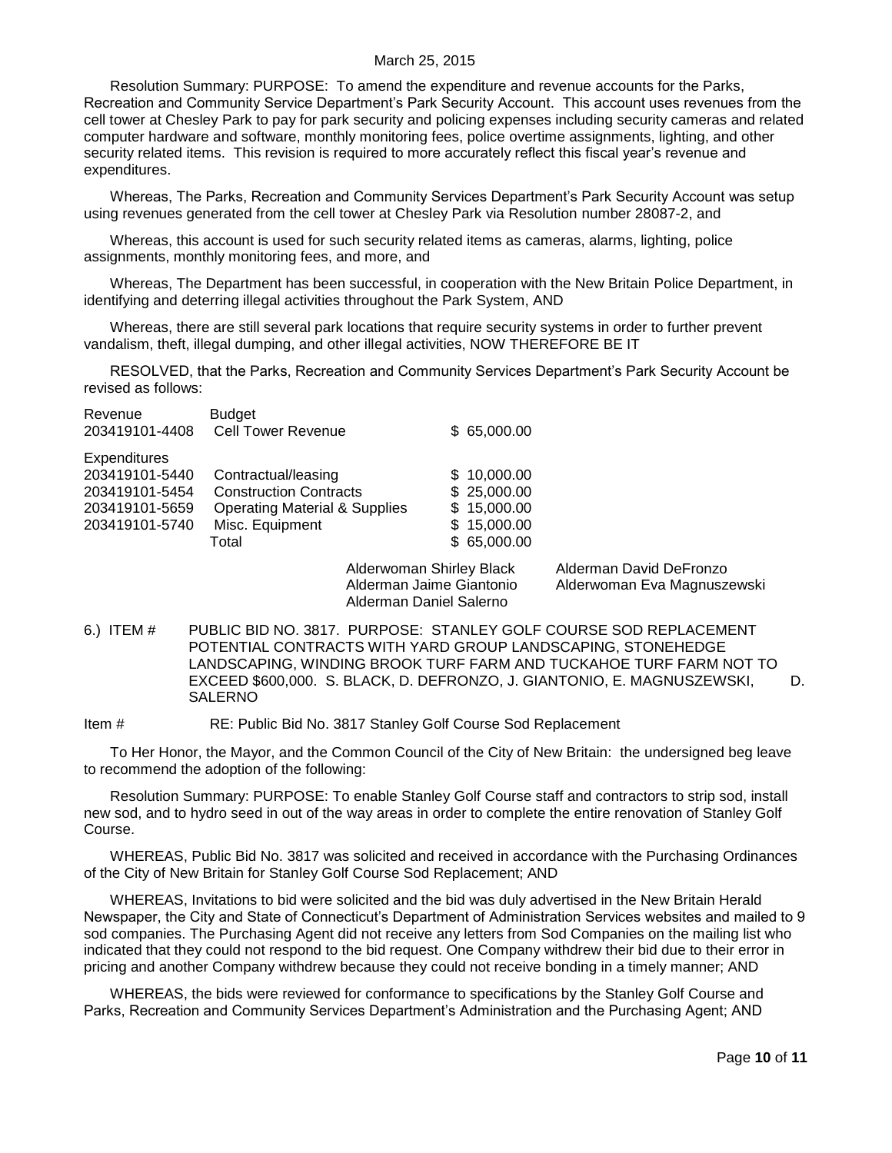Resolution Summary: PURPOSE: To amend the expenditure and revenue accounts for the Parks, Recreation and Community Service Department's Park Security Account. This account uses revenues from the cell tower at Chesley Park to pay for park security and policing expenses including security cameras and related computer hardware and software, monthly monitoring fees, police overtime assignments, lighting, and other security related items. This revision is required to more accurately reflect this fiscal year's revenue and expenditures.

Whereas, The Parks, Recreation and Community Services Department's Park Security Account was setup using revenues generated from the cell tower at Chesley Park via Resolution number 28087-2, and

Whereas, this account is used for such security related items as cameras, alarms, lighting, police assignments, monthly monitoring fees, and more, and

Whereas, The Department has been successful, in cooperation with the New Britain Police Department, in identifying and deterring illegal activities throughout the Park System, AND

Whereas, there are still several park locations that require security systems in order to further prevent vandalism, theft, illegal dumping, and other illegal activities, NOW THEREFORE BE IT

RESOLVED, that the Parks, Recreation and Community Services Department's Park Security Account be revised as follows:

| Revenue             | <b>Budget</b>                            |                          |          |
|---------------------|------------------------------------------|--------------------------|----------|
| 203419101-4408      | <b>Cell Tower Revenue</b>                | \$65,000.00              |          |
| <b>Expenditures</b> |                                          |                          |          |
| 203419101-5440      | Contractual/leasing                      | \$10,000.00              |          |
| 203419101-5454      | <b>Construction Contracts</b>            | \$25,000.00              |          |
| 203419101-5659      | <b>Operating Material &amp; Supplies</b> | \$15,000.00              |          |
| 203419101-5740      | Misc. Equipment                          | \$15,000.00              |          |
|                     | Total                                    | \$65,000.00              |          |
|                     |                                          | Alderwaman Chirloy Plack | Aldormon |

Alderman Daniel Salerno

Alderwoman Shirley Black Alderman David DeFronzo Alderman Jaime Giantonio Alderwoman Eva Magnuszewski

<span id="page-9-0"></span>6.) ITEM # PUBLIC BID NO. 3817. PURPOSE: STANLEY GOLF COURSE SOD REPLACEMENT POTENTIAL CONTRACTS WITH YARD GROUP LANDSCAPING, STONEHEDGE LANDSCAPING, WINDING BROOK TURF FARM AND TUCKAHOE TURF FARM NOT TO EXCEED \$600,000. S. BLACK, D. DEFRONZO, J. GIANTONIO, E. MAGNUSZEWSKI, D. SALERNO

Item # RE: Public Bid No. 3817 Stanley Golf Course Sod Replacement

To Her Honor, the Mayor, and the Common Council of the City of New Britain: the undersigned beg leave to recommend the adoption of the following:

Resolution Summary: PURPOSE: To enable Stanley Golf Course staff and contractors to strip sod, install new sod, and to hydro seed in out of the way areas in order to complete the entire renovation of Stanley Golf Course.

WHEREAS, Public Bid No. 3817 was solicited and received in accordance with the Purchasing Ordinances of the City of New Britain for Stanley Golf Course Sod Replacement; AND

WHEREAS, Invitations to bid were solicited and the bid was duly advertised in the New Britain Herald Newspaper, the City and State of Connecticut's Department of Administration Services websites and mailed to 9 sod companies. The Purchasing Agent did not receive any letters from Sod Companies on the mailing list who indicated that they could not respond to the bid request. One Company withdrew their bid due to their error in pricing and another Company withdrew because they could not receive bonding in a timely manner; AND

WHEREAS, the bids were reviewed for conformance to specifications by the Stanley Golf Course and Parks, Recreation and Community Services Department's Administration and the Purchasing Agent; AND